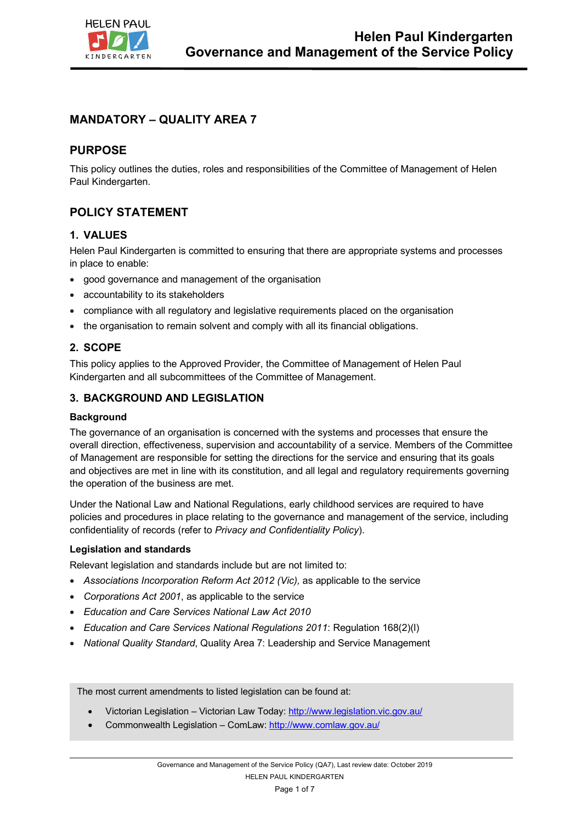

# **MANDATORY – QUALITY AREA 7**

### **PURPOSE**

This policy outlines the duties, roles and responsibilities of the Committee of Management of Helen Paul Kindergarten.

## **POLICY STATEMENT**

### **1. VALUES**

Helen Paul Kindergarten is committed to ensuring that there are appropriate systems and processes in place to enable:

- good governance and management of the organisation
- accountability to its stakeholders
- compliance with all regulatory and legislative requirements placed on the organisation
- the organisation to remain solvent and comply with all its financial obligations.

#### **2. SCOPE**

This policy applies to the Approved Provider, the Committee of Management of Helen Paul Kindergarten and all subcommittees of the Committee of Management.

#### **3. BACKGROUND AND LEGISLATION**

#### **Background**

The governance of an organisation is concerned with the systems and processes that ensure the overall direction, effectiveness, supervision and accountability of a service. Members of the Committee of Management are responsible for setting the directions for the service and ensuring that its goals and objectives are met in line with its constitution, and all legal and regulatory requirements governing the operation of the business are met.

Under the National Law and National Regulations, early childhood services are required to have policies and procedures in place relating to the governance and management of the service, including confidentiality of records (refer to *Privacy and Confidentiality Policy*).

#### **Legislation and standards**

Relevant legislation and standards include but are not limited to:

- *Associations Incorporation Reform Act 2012 (Vic),* as applicable to the service
- *Corporations Act 2001*, as applicable to the service
- *Education and Care Services National Law Act 2010*
- *Education and Care Services National Regulations 2011*: Regulation 168(2)(l)
- *National Quality Standard*, Quality Area 7: Leadership and Service Management

The most current amendments to listed legislation can be found at:

- Victorian Legislation Victorian Law Today: http://www.legislation.vic.gov.au/
- Commonwealth Legislation ComLaw: http://www.comlaw.gov.au/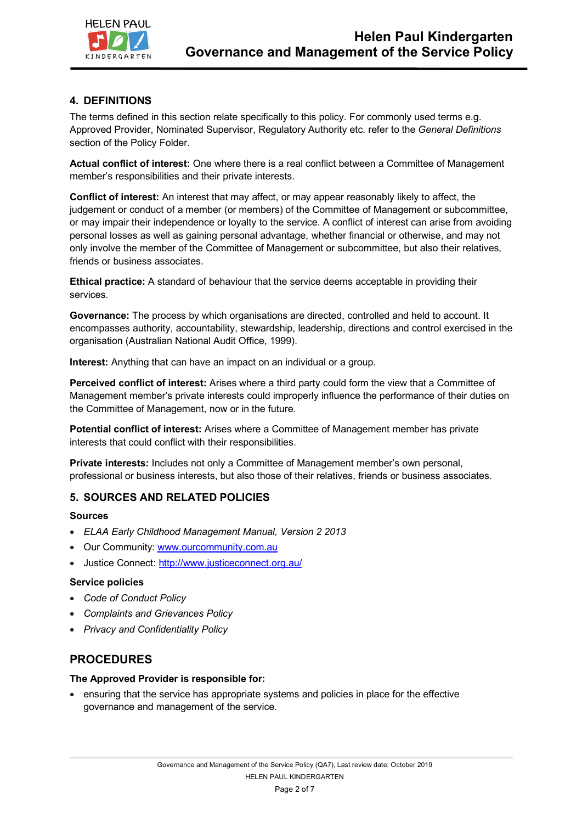

# **4. DEFINITIONS**

The terms defined in this section relate specifically to this policy. For commonly used terms e.g. Approved Provider, Nominated Supervisor, Regulatory Authority etc. refer to the *General Definitions* section of the Policy Folder.

**Actual conflict of interest:** One where there is a real conflict between a Committee of Management member's responsibilities and their private interests.

**Conflict of interest:** An interest that may affect, or may appear reasonably likely to affect, the judgement or conduct of a member (or members) of the Committee of Management or subcommittee, or may impair their independence or loyalty to the service. A conflict of interest can arise from avoiding personal losses as well as gaining personal advantage, whether financial or otherwise, and may not only involve the member of the Committee of Management or subcommittee, but also their relatives, friends or business associates.

**Ethical practice:** A standard of behaviour that the service deems acceptable in providing their services.

**Governance:** The process by which organisations are directed, controlled and held to account. It encompasses authority, accountability, stewardship, leadership, directions and control exercised in the organisation (Australian National Audit Office, 1999).

**Interest:** Anything that can have an impact on an individual or a group.

**Perceived conflict of interest:** Arises where a third party could form the view that a Committee of Management member's private interests could improperly influence the performance of their duties on the Committee of Management, now or in the future.

**Potential conflict of interest:** Arises where a Committee of Management member has private interests that could conflict with their responsibilities.

**Private interests:** Includes not only a Committee of Management member's own personal, professional or business interests, but also those of their relatives, friends or business associates.

### **5. SOURCES AND RELATED POLICIES**

#### **Sources**

- *ELAA Early Childhood Management Manual, Version 2 2013*
- Our Community: www.ourcommunity.com.au
- Justice Connect: http://www.justiceconnect.org.au/

#### **Service policies**

- *Code of Conduct Policy*
- *Complaints and Grievances Policy*
- *Privacy and Confidentiality Policy*

### **PROCEDURES**

#### **The Approved Provider is responsible for:**

• ensuring that the service has appropriate systems and policies in place for the effective governance and management of the service.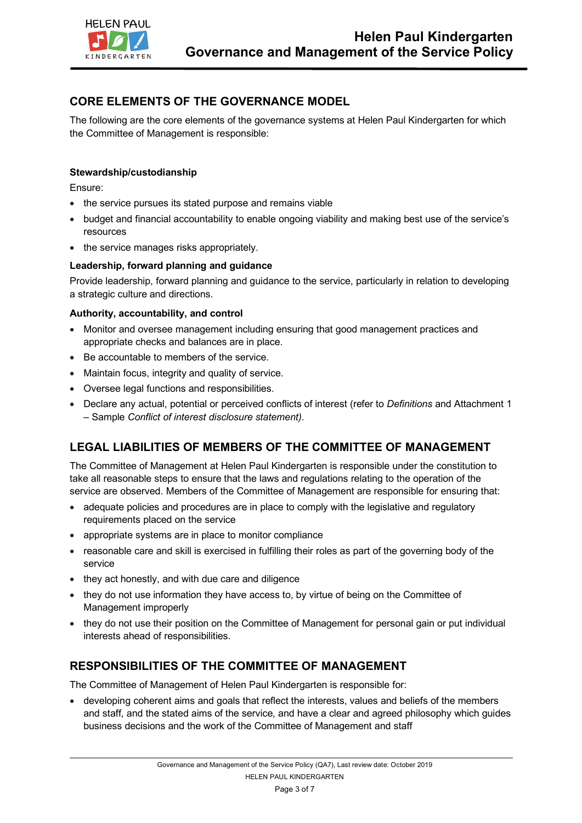

# **CORE ELEMENTS OF THE GOVERNANCE MODEL**

The following are the core elements of the governance systems at Helen Paul Kindergarten for which the Committee of Management is responsible:

#### **Stewardship/custodianship**

Ensure:

- the service pursues its stated purpose and remains viable
- budget and financial accountability to enable ongoing viability and making best use of the service's resources
- the service manages risks appropriately.

#### **Leadership, forward planning and guidance**

Provide leadership, forward planning and guidance to the service, particularly in relation to developing a strategic culture and directions.

#### **Authority, accountability, and control**

- Monitor and oversee management including ensuring that good management practices and appropriate checks and balances are in place.
- Be accountable to members of the service.
- Maintain focus, integrity and quality of service.
- Oversee legal functions and responsibilities.
- Declare any actual, potential or perceived conflicts of interest (refer to *Definitions* and Attachment 1 – Sample *Conflict of interest disclosure statement)*.

## **LEGAL LIABILITIES OF MEMBERS OF THE COMMITTEE OF MANAGEMENT**

The Committee of Management at Helen Paul Kindergarten is responsible under the constitution to take all reasonable steps to ensure that the laws and regulations relating to the operation of the service are observed. Members of the Committee of Management are responsible for ensuring that:

- adequate policies and procedures are in place to comply with the legislative and regulatory requirements placed on the service
- appropriate systems are in place to monitor compliance
- reasonable care and skill is exercised in fulfilling their roles as part of the governing body of the service
- they act honestly, and with due care and diligence
- they do not use information they have access to, by virtue of being on the Committee of Management improperly
- they do not use their position on the Committee of Management for personal gain or put individual interests ahead of responsibilities.

## **RESPONSIBILITIES OF THE COMMITTEE OF MANAGEMENT**

The Committee of Management of Helen Paul Kindergarten is responsible for:

• developing coherent aims and goals that reflect the interests, values and beliefs of the members and staff, and the stated aims of the service, and have a clear and agreed philosophy which guides business decisions and the work of the Committee of Management and staff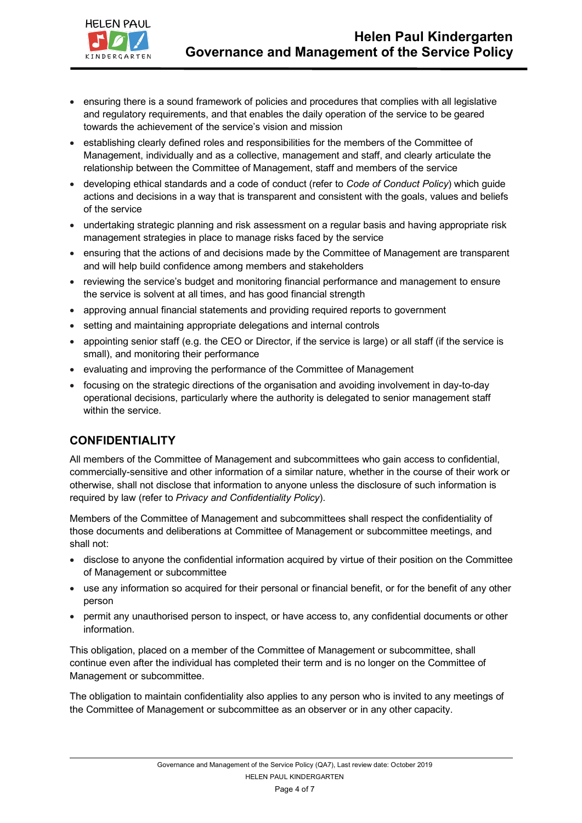

- ensuring there is a sound framework of policies and procedures that complies with all legislative and regulatory requirements, and that enables the daily operation of the service to be geared towards the achievement of the service's vision and mission
- establishing clearly defined roles and responsibilities for the members of the Committee of Management, individually and as a collective, management and staff, and clearly articulate the relationship between the Committee of Management, staff and members of the service
- developing ethical standards and a code of conduct (refer to *Code of Conduct Policy*) which guide actions and decisions in a way that is transparent and consistent with the goals, values and beliefs of the service
- undertaking strategic planning and risk assessment on a regular basis and having appropriate risk management strategies in place to manage risks faced by the service
- ensuring that the actions of and decisions made by the Committee of Management are transparent and will help build confidence among members and stakeholders
- reviewing the service's budget and monitoring financial performance and management to ensure the service is solvent at all times, and has good financial strength
- approving annual financial statements and providing required reports to government
- setting and maintaining appropriate delegations and internal controls
- appointing senior staff (e.g. the CEO or Director, if the service is large) or all staff (if the service is small), and monitoring their performance
- evaluating and improving the performance of the Committee of Management
- focusing on the strategic directions of the organisation and avoiding involvement in day-to-day operational decisions, particularly where the authority is delegated to senior management staff within the service.

## **CONFIDENTIALITY**

All members of the Committee of Management and subcommittees who gain access to confidential, commercially-sensitive and other information of a similar nature, whether in the course of their work or otherwise, shall not disclose that information to anyone unless the disclosure of such information is required by law (refer to *Privacy and Confidentiality Policy*).

Members of the Committee of Management and subcommittees shall respect the confidentiality of those documents and deliberations at Committee of Management or subcommittee meetings, and shall not:

- disclose to anyone the confidential information acquired by virtue of their position on the Committee of Management or subcommittee
- use any information so acquired for their personal or financial benefit, or for the benefit of any other person
- permit any unauthorised person to inspect, or have access to, any confidential documents or other information.

This obligation, placed on a member of the Committee of Management or subcommittee, shall continue even after the individual has completed their term and is no longer on the Committee of Management or subcommittee.

The obligation to maintain confidentiality also applies to any person who is invited to any meetings of the Committee of Management or subcommittee as an observer or in any other capacity.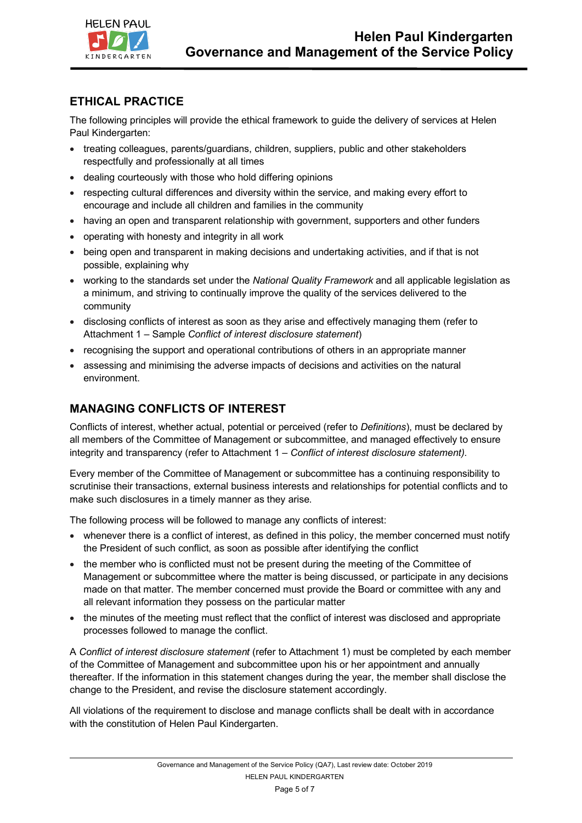

# **ETHICAL PRACTICE**

The following principles will provide the ethical framework to guide the delivery of services at Helen Paul Kindergarten:

- treating colleagues, parents/guardians, children, suppliers, public and other stakeholders respectfully and professionally at all times
- dealing courteously with those who hold differing opinions
- respecting cultural differences and diversity within the service, and making every effort to encourage and include all children and families in the community
- having an open and transparent relationship with government, supporters and other funders
- operating with honesty and integrity in all work
- being open and transparent in making decisions and undertaking activities, and if that is not possible, explaining why
- working to the standards set under the *National Quality Framework* and all applicable legislation as a minimum, and striving to continually improve the quality of the services delivered to the community
- disclosing conflicts of interest as soon as they arise and effectively managing them (refer to Attachment 1 – Sample *Conflict of interest disclosure statement*)
- recognising the support and operational contributions of others in an appropriate manner
- assessing and minimising the adverse impacts of decisions and activities on the natural environment.

# **MANAGING CONFLICTS OF INTEREST**

Conflicts of interest, whether actual, potential or perceived (refer to *Definitions*), must be declared by all members of the Committee of Management or subcommittee, and managed effectively to ensure integrity and transparency (refer to Attachment 1 – *Conflict of interest disclosure statement)*.

Every member of the Committee of Management or subcommittee has a continuing responsibility to scrutinise their transactions, external business interests and relationships for potential conflicts and to make such disclosures in a timely manner as they arise.

The following process will be followed to manage any conflicts of interest:

- whenever there is a conflict of interest, as defined in this policy, the member concerned must notify the President of such conflict, as soon as possible after identifying the conflict
- the member who is conflicted must not be present during the meeting of the Committee of Management or subcommittee where the matter is being discussed, or participate in any decisions made on that matter. The member concerned must provide the Board or committee with any and all relevant information they possess on the particular matter
- the minutes of the meeting must reflect that the conflict of interest was disclosed and appropriate processes followed to manage the conflict.

A *Conflict of interest disclosure statement* (refer to Attachment 1) must be completed by each member of the Committee of Management and subcommittee upon his or her appointment and annually thereafter. If the information in this statement changes during the year, the member shall disclose the change to the President, and revise the disclosure statement accordingly.

All violations of the requirement to disclose and manage conflicts shall be dealt with in accordance with the constitution of Helen Paul Kindergarten.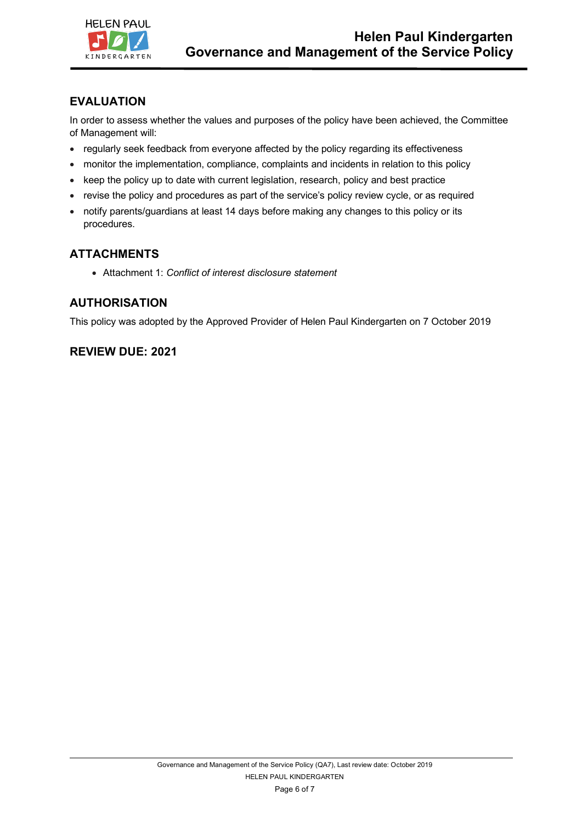

# **EVALUATION**

In order to assess whether the values and purposes of the policy have been achieved, the Committee of Management will:

- regularly seek feedback from everyone affected by the policy regarding its effectiveness
- monitor the implementation, compliance, complaints and incidents in relation to this policy
- keep the policy up to date with current legislation, research, policy and best practice
- revise the policy and procedures as part of the service's policy review cycle, or as required
- notify parents/guardians at least 14 days before making any changes to this policy or its procedures.

# **ATTACHMENTS**

• Attachment 1: *Conflict of interest disclosure statement*

## **AUTHORISATION**

This policy was adopted by the Approved Provider of Helen Paul Kindergarten on 7 October 2019

## **REVIEW DUE: 2021**